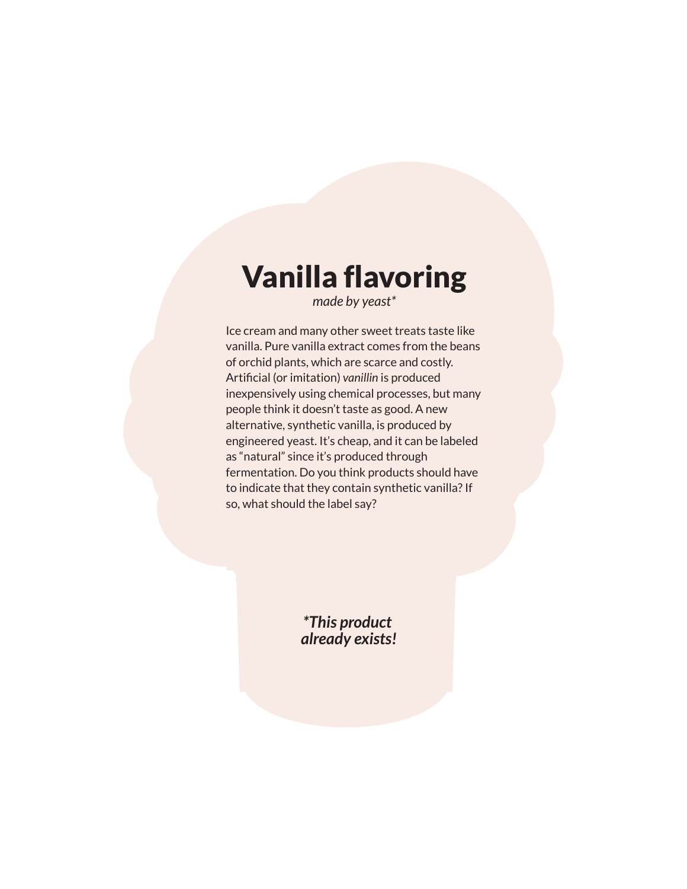### Vanilla flavoring

*made by yeast\**

Ice cream and many other sweet treats taste like vanilla. Pure vanilla extract comes from the beans of orchid plants, which are scarce and costly. Artificial (or imitation) *vanillin* is produced inexpensively using chemical processes, but many people think it doesn't taste as good. A new alternative, synthetic vanilla, is produced by engineered yeast. It's cheap, and it can be labeled as "natural" since it's produced through fermentation. Do you think products should have to indicate that they contain synthetic vanilla? If so, what should the label say?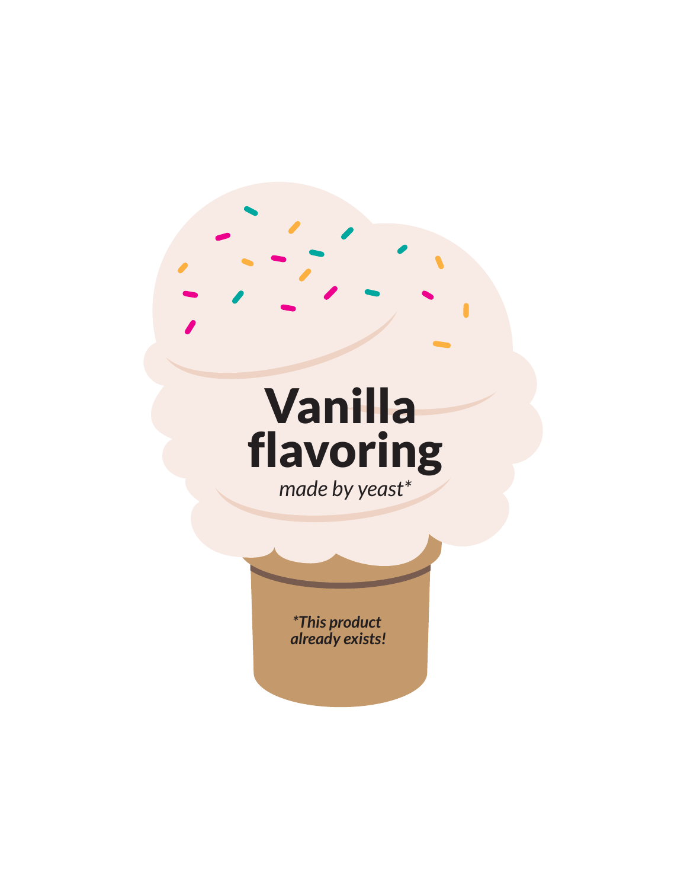## Vanilla flavoring

*made by yeast\**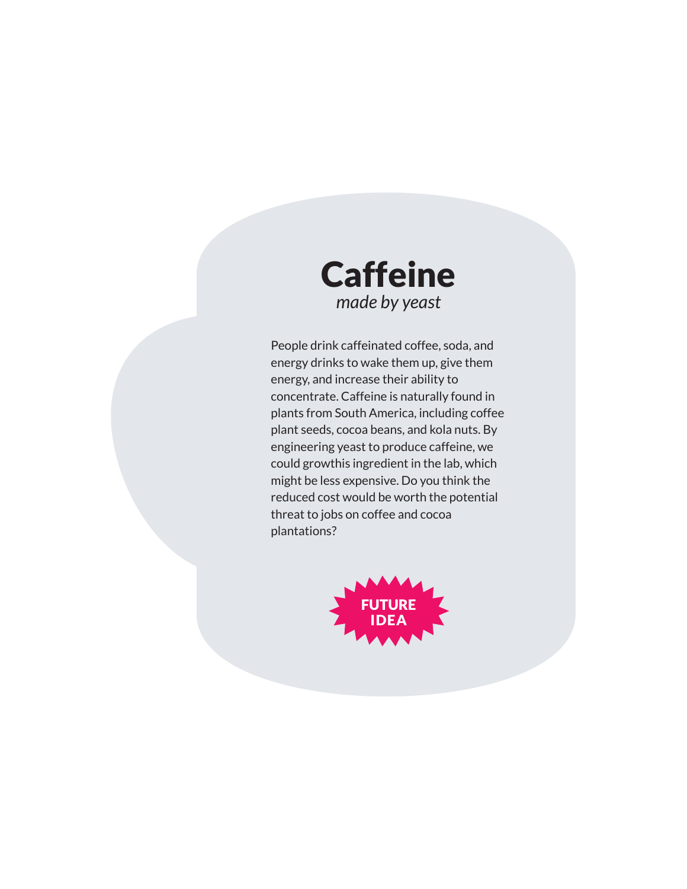#### **Caffeine** *made by yeast*

People drink caffeinated coffee, soda, and energy drinks to wake them up, give them energy, and increase their ability to concentrate. Caffeine is naturally found in plants from South America, including coffee plant seeds, cocoa beans, and kola nuts. By engineering yeast to produce caffeine, we could growthis ingredient in the lab, which might be less expensive. Do you think the reduced cost would be worth the potential threat to jobs on coffee and cocoa plantations?

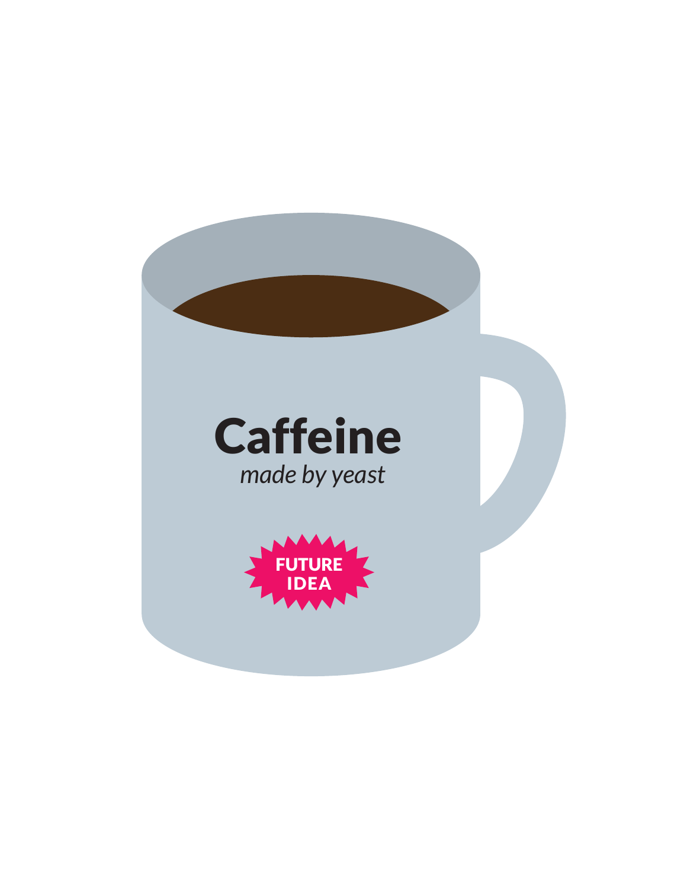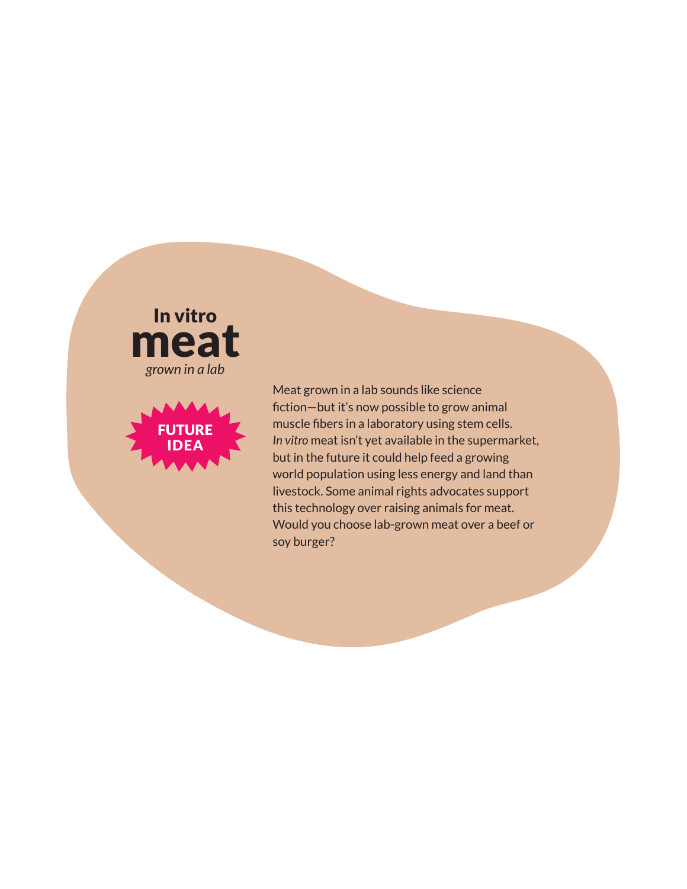



Meat grown in a lab sounds like science fiction—but it's now possible to grow animal muscle fibers in a laboratory using stem cells. *In vitro* meat isn't yet available in the supermarket, but in the future it could help feed a growing world population using less energy and land than livestock. Some animal rights advocates support this technology over raising animals for meat. Would you choose lab-grown meat over a beef or soy burger?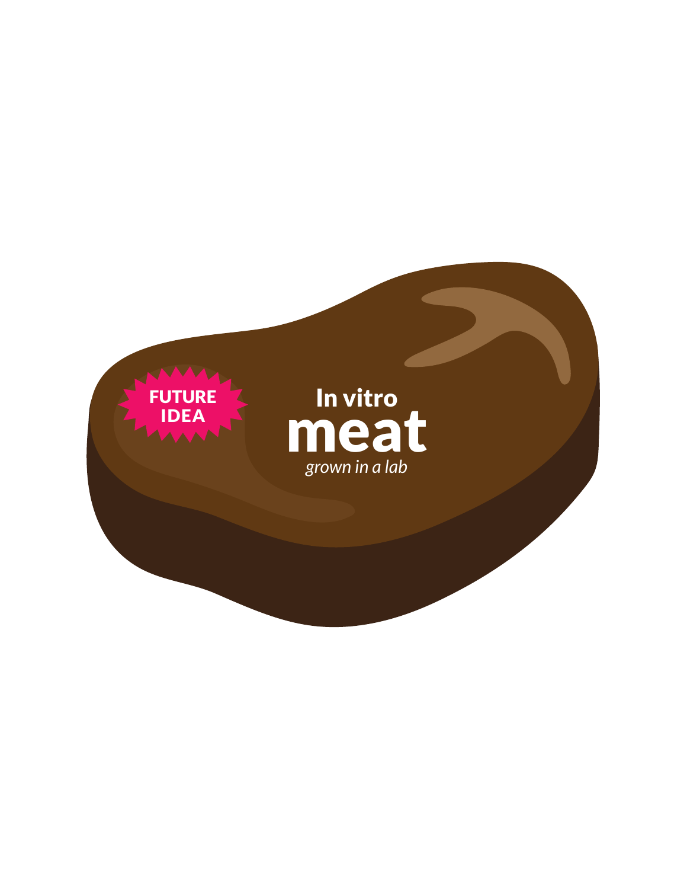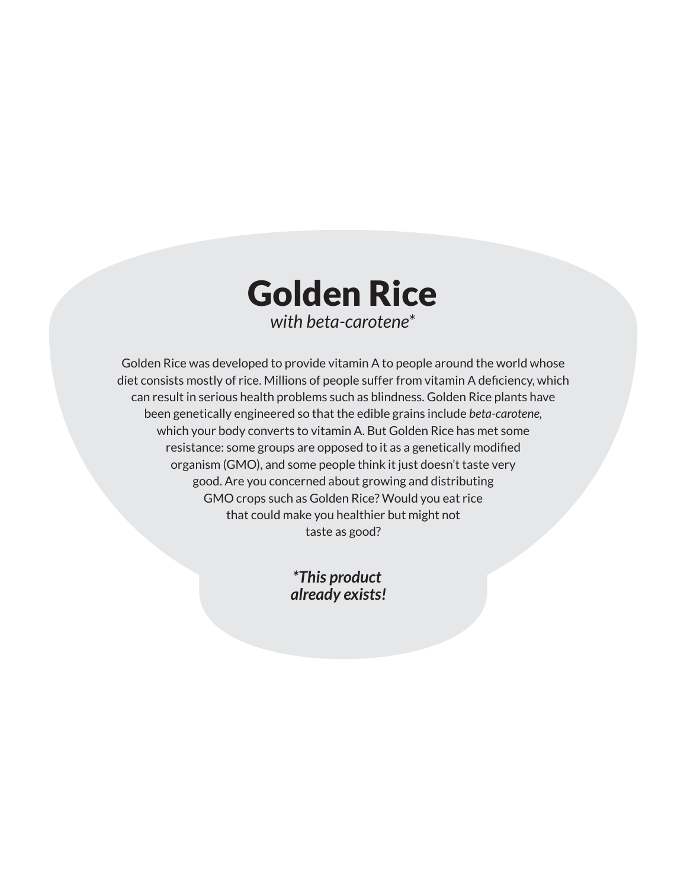

Golden Rice was developed to provide vitamin A to people around the world whose diet consists mostly of rice. Millions of people suffer from vitamin A deficiency, which can result in serious health problems such as blindness. Golden Rice plants have been genetically engineered so that the edible grains include *beta-carotene,*  which your body converts to vitamin A. But Golden Rice has met some resistance: some groups are opposed to it as a genetically modified organism (GMO), and some people think it just doesn't taste very good. Are you concerned about growing and distributing GMO crops such as Golden Rice? Would you eat rice that could make you healthier but might not taste as good?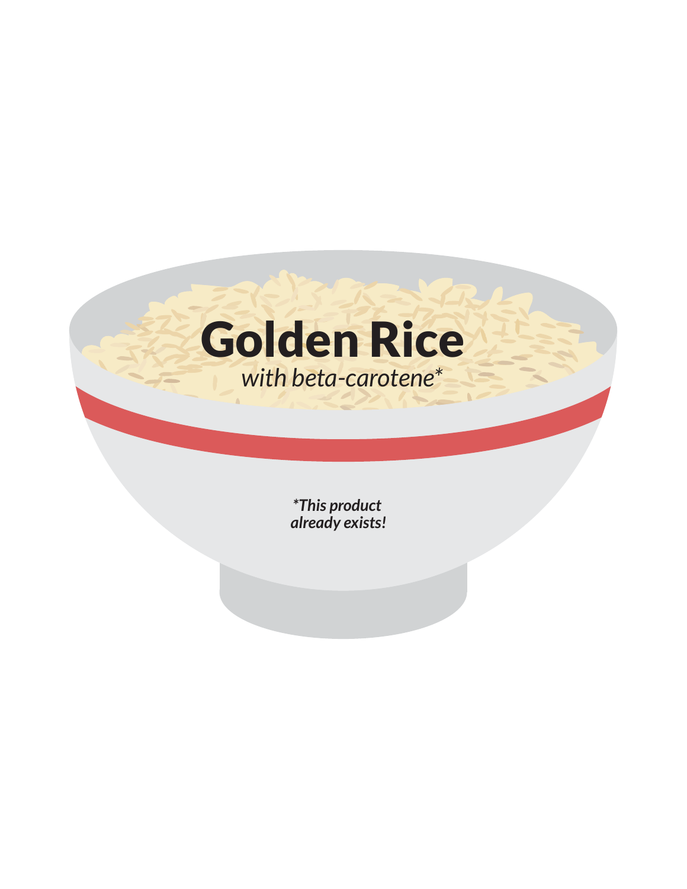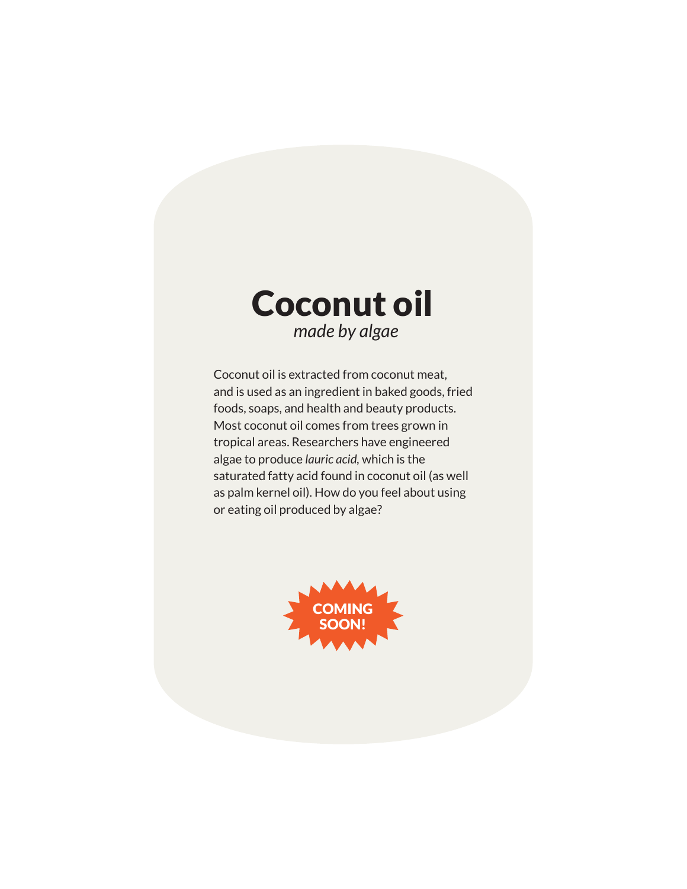

Coconut oil is extracted from coconut meat, and is used as an ingredient in baked goods, fried foods, soaps, and health and beauty products. Most coconut oil comes from trees grown in tropical areas. Researchers have engineered algae to produce *lauric acid,* which is the saturated fatty acid found in coconut oil (as well as palm kernel oil). How do you feel about using or eating oil produced by algae?

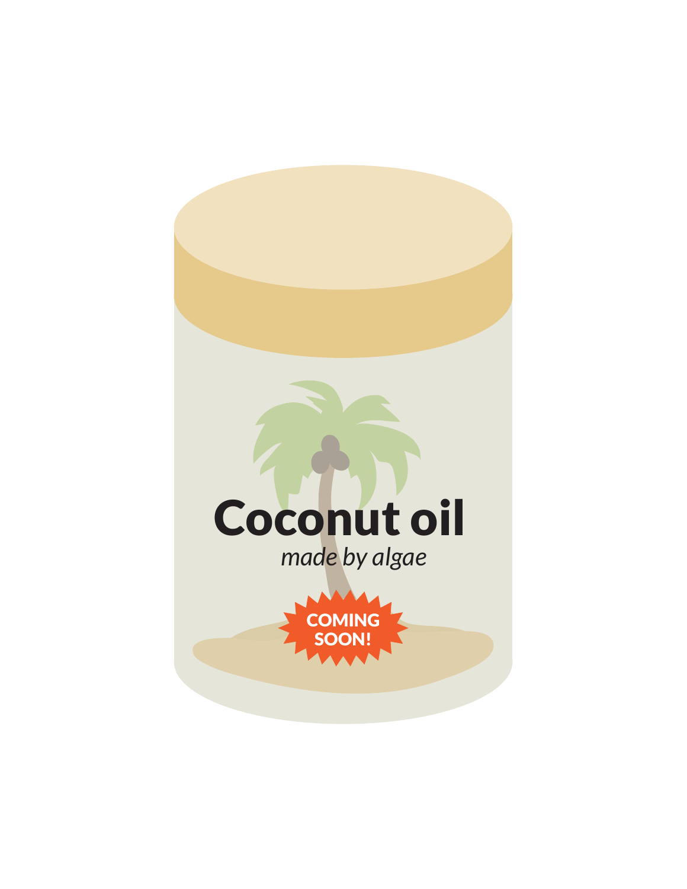

*made by algae*

**COMING** SOON!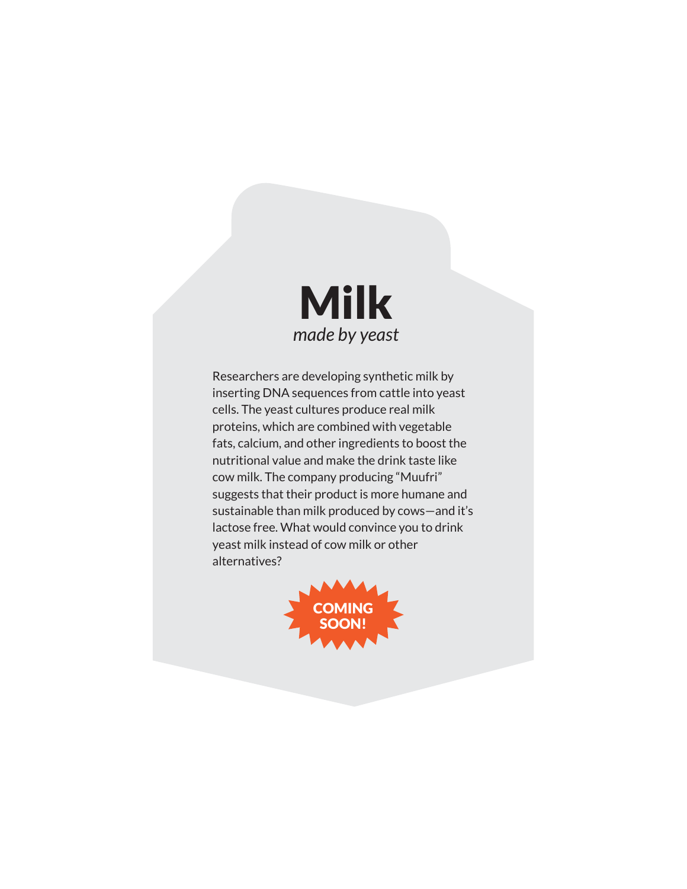

Researchers are developing synthetic milk by inserting DNA sequences from cattle into yeast cells. The yeast cultures produce real milk proteins, which are combined with vegetable fats, calcium, and other ingredients to boost the nutritional value and make the drink taste like cow milk. The company producing "Muufri" suggests that their product is more humane and sustainable than milk produced by cows—and it's lactose free. What would convince you to drink yeast milk instead of cow milk or other alternatives?

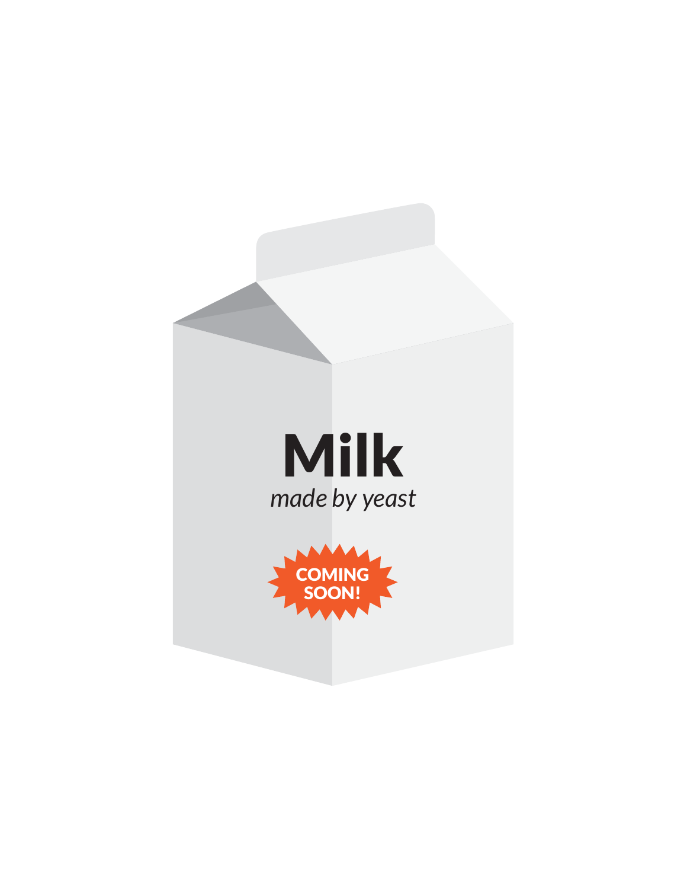

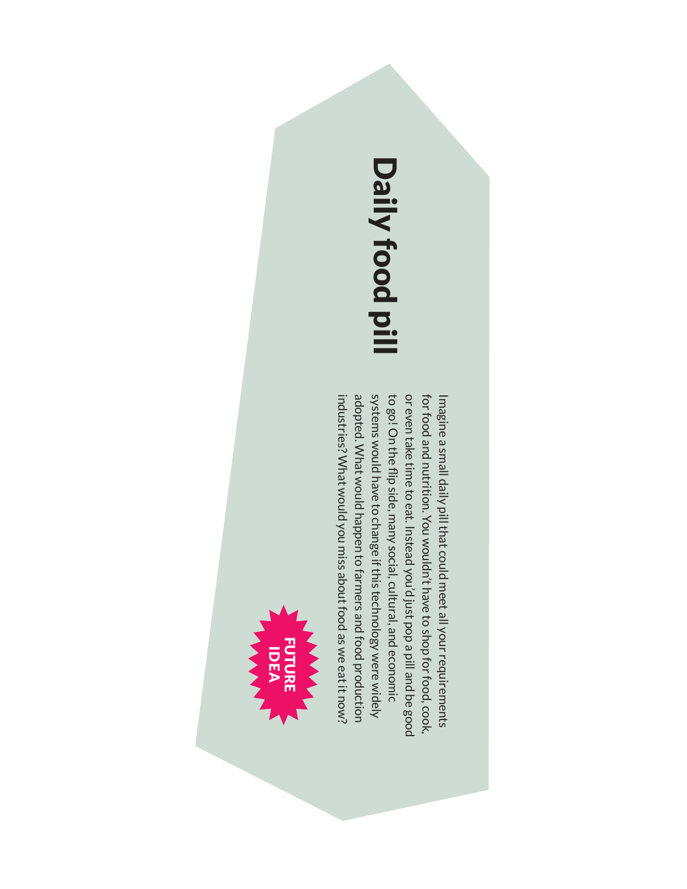# Daily food pill Daily food pill

adopted. What would happen to farmers and food production systems would have to change if this technology were widely to go! On the flip side, many social, cultural, and economic or even take time to eat. Instead you'd just pop a pill and be good for food and nutrition. You wouldn't have to shop for food, cook, industries? What would you miss about food as we eat it now? systems would have to change if this technology were widely to go! On the flip side, many social, cultural, and economic for food and nutrition. You wouldn't have to shop for food, cook, Imagine a small daily pill that could meet all your requirements industries? What would you miss about food as we eat it now? adopted. What would happen to farmers and food production or even take time to eat. Instead you'd just pop a pill and be good Imagine a small daily pill that could meet all your requirements

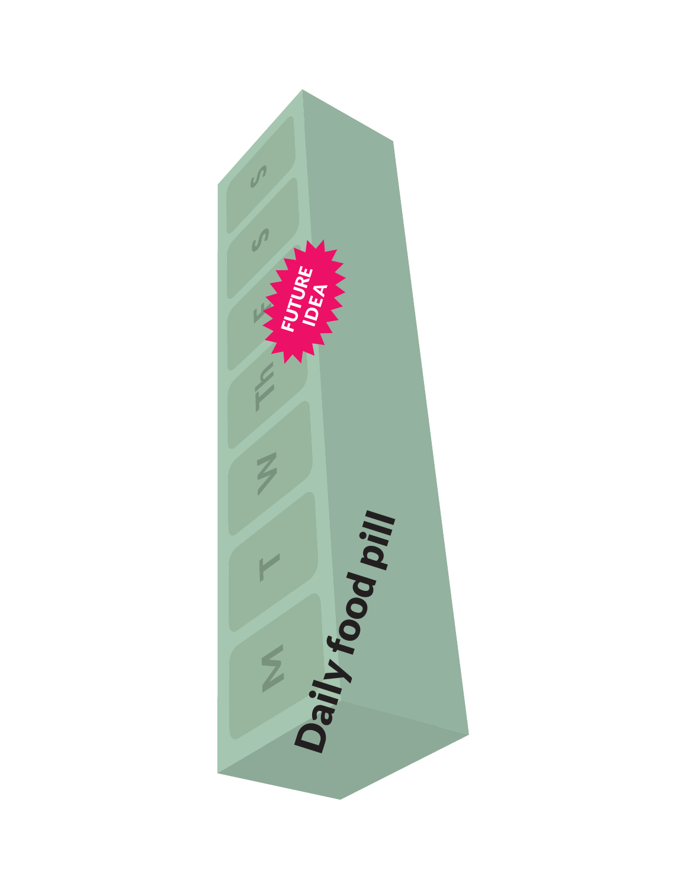